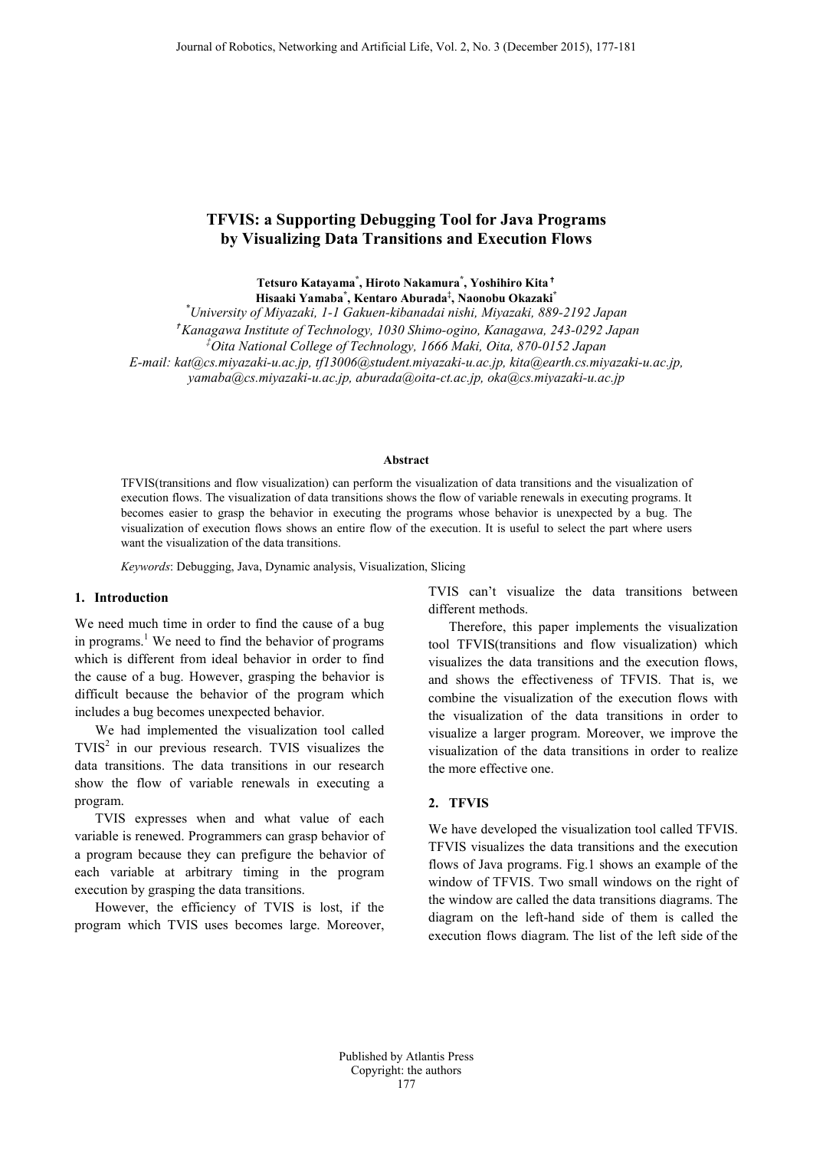# **TFVIS: a Supporting Debugging Tool for Java Programs by Visualizing Data Transitions and Execution Flows**

**Tetsuro Katayama\* , Hiroto Nakamura\* , Yoshihiro Kita**✝ **Hisaaki Yamaba\* , Kentaro Aburada‡ , Naonobu Okazaki\***

*\* University of Miyazaki, 1-1 Gakuen-kibanadai nishi, Miyazaki, 889-2192 Japan*

✝ *Kanagawa Institute of Technology, 1030 Shimo-ogino, Kanagawa, 243-0292 Japan*

*‡ Oita National College of Technology, 1666 Maki, Oita, 870-0152 Japan*

*E-mail: kat@cs.miyazaki-u.ac.jp, tf13006@student.miyazaki-u.ac.jp, kita@earth.cs.miyazaki-u.ac.jp,*

*yamaba@cs.miyazaki-u.ac.jp, aburada@oita-ct.ac.jp, oka@cs.miyazaki-u.ac.jp*

### **Abstract**

TFVIS(transitions and flow visualization) can perform the visualization of data transitions and the visualization of execution flows. The visualization of data transitions shows the flow of variable renewals in executing programs. It becomes easier to grasp the behavior in executing the programs whose behavior is unexpected by a bug. The visualization of execution flows shows an entire flow of the execution. It is useful to select the part where users want the visualization of the data transitions.

*Keywords*: Debugging, Java, Dynamic analysis, Visualization, Slicing

### **1. Introduction**

We need much time in order to find the cause of a bug in programs. <sup>1</sup> We need to find the behavior of programs which is different from ideal behavior in order to find the cause of a bug. However, grasping the behavior is difficult because the behavior of the program which includes a bug becomes unexpected behavior.

We had implemented the visualization tool called  $TVIS<sup>2</sup>$  in our previous research. TVIS visualizes the data transitions. The data transitions in our research show the flow of variable renewals in executing a program.

TVIS expresses when and what value of each variable is renewed. Programmers can grasp behavior of a program because they can prefigure the behavior of each variable at arbitrary timing in the program execution by grasping the data transitions.

However, the efficiency of TVIS is lost, if the program which TVIS uses becomes large. Moreover, TVIS can't visualize the data transitions between different methods.

Therefore, this paper implements the visualization tool TFVIS(transitions and flow visualization) which visualizes the data transitions and the execution flows, and shows the effectiveness of TFVIS. That is, we combine the visualization of the execution flows with the visualization of the data transitions in order to visualize a larger program. Moreover, we improve the visualization of the data transitions in order to realize the more effective one.

### **2. TFVIS**

We have developed the visualization tool called TFVIS. TFVIS visualizes the data transitions and the execution flows of Java programs. Fig.1 shows an example of the window of TFVIS. Two small windows on the right of the window are called the data transitions diagrams. The diagram on the left-hand side of them is called the execution flows diagram. The list of the left side of the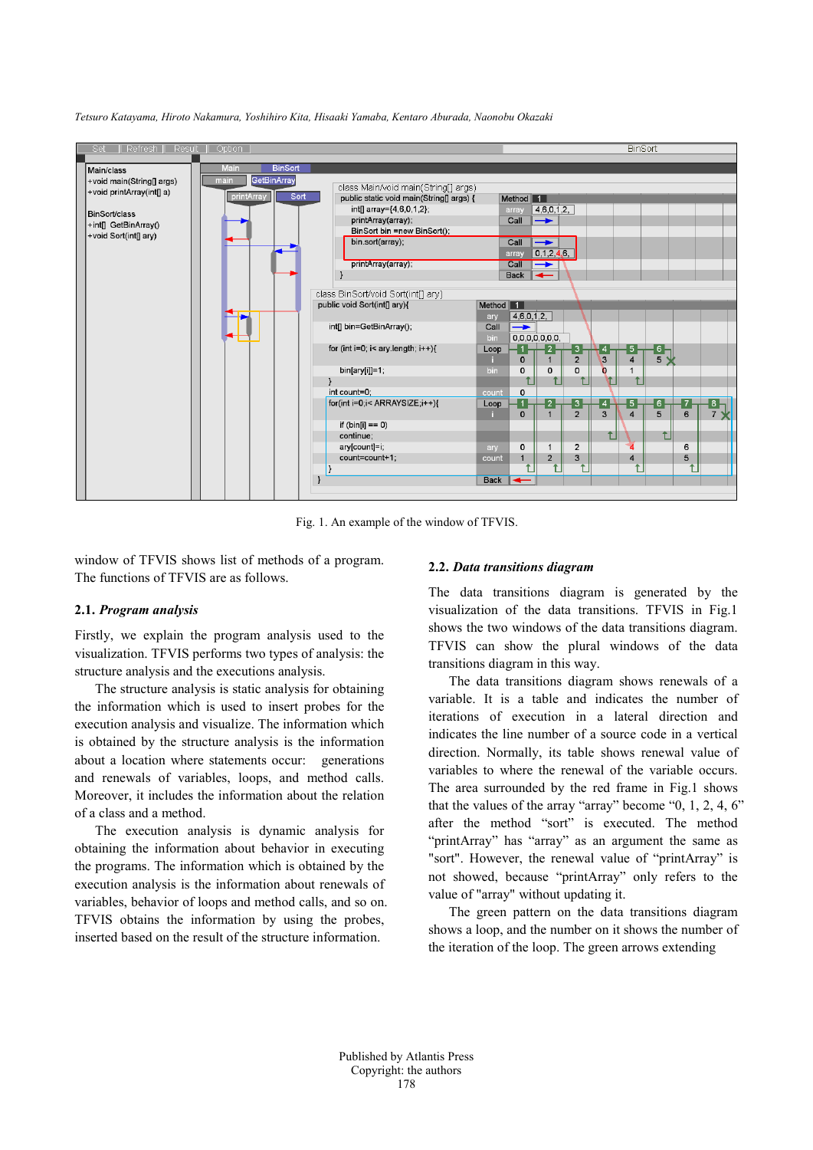

*Tetsuro Katayama, Hiroto Nakamura, Yoshihiro Kita, Hisaaki Yamaba, Kentaro Aburada, Naonobu Okazaki*

Fig. 1. An example of the window of TFVIS.

window of TFVIS shows list of methods of a program. The functions of TFVIS are as follows.

### **2.1.** *Program analysis*

Firstly, we explain the program analysis used to the visualization. TFVIS performs two types of analysis: the structure analysis and the executions analysis.

The structure analysis is static analysis for obtaining the information which is used to insert probes for the execution analysis and visualize. The information which is obtained by the structure analysis is the information about a location where statements occur: generations and renewals of variables, loops, and method calls. Moreover, it includes the information about the relation of a class and a method.

The execution analysis is dynamic analysis for obtaining the information about behavior in executing the programs. The information which is obtained by the execution analysis is the information about renewals of variables, behavior of loops and method calls, and so on. TFVIS obtains the information by using the probes, inserted based on the result of the structure information.

#### **2.2.** *Data transitions diagram*

The data transitions diagram is generated by the visualization of the data transitions. TFVIS in Fig.1 shows the two windows of the data transitions diagram. TFVIS can show the plural windows of the data transitions diagram in this way.

The data transitions diagram shows renewals of a variable. It is a table and indicates the number of iterations of execution in a lateral direction and indicates the line number of a source code in a vertical direction. Normally, its table shows renewal value of variables to where the renewal of the variable occurs. The area surrounded by the red frame in Fig.1 shows that the values of the array "array" become "0, 1, 2, 4, 6" after the method "sort" is executed. The method "printArray" has "array" as an argument the same as "sort". However, the renewal value of "printArray" is not showed, because "printArray" only refers to the value of "array" without updating it.

The green pattern on the data transitions diagram shows a loop, and the number on it shows the number of the iteration of the loop. The green arrows extending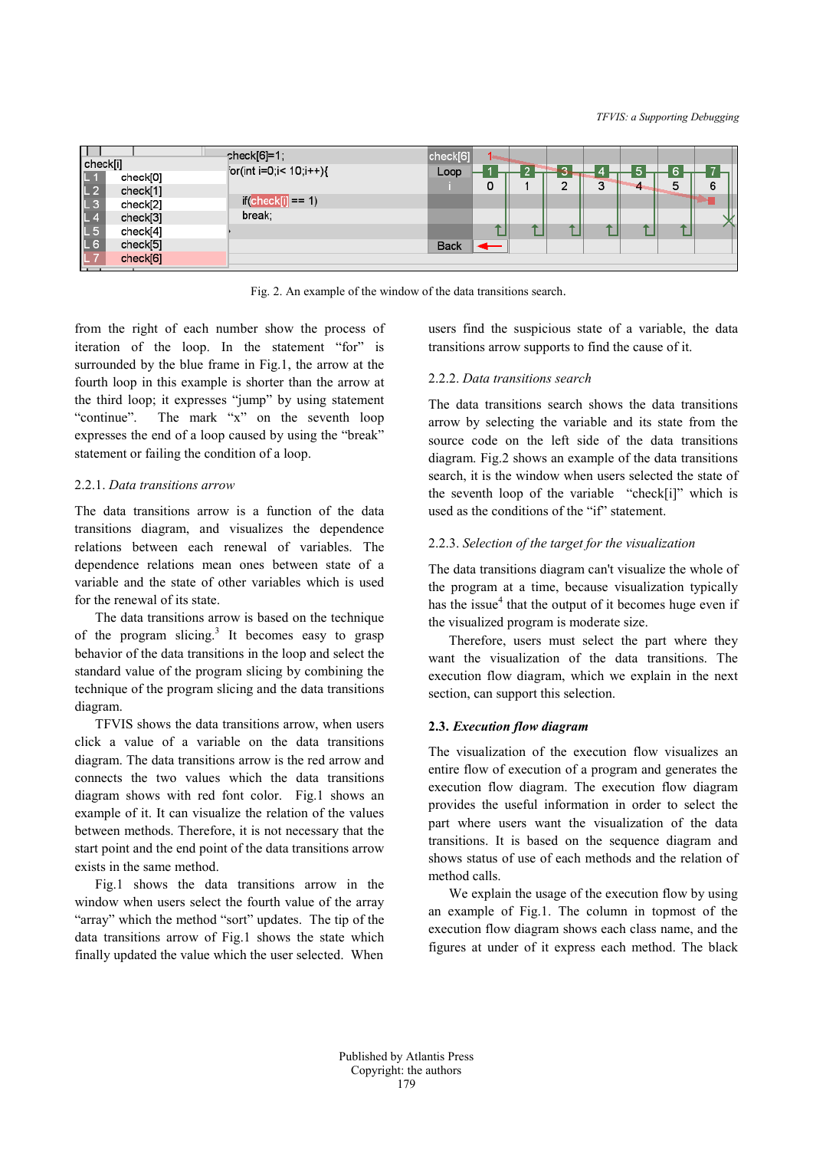| check[i]       |          | pheck[6]=1;<br>$[or(int i=0;i< 10;i++)\{$ | check[6]    |   | - 2 |   |   |  |   | $\overline{\phantom{0}}$ |
|----------------|----------|-------------------------------------------|-------------|---|-----|---|---|--|---|--------------------------|
| $L$ $\tau$     | check[0] |                                           | Loop        |   |     | c |   |  |   |                          |
| L <sub>2</sub> | check[1] |                                           |             | 0 |     |   | 3 |  | 5 | 6                        |
| L <sub>3</sub> | check[2] | $if($ check $[i] == 1)$                   |             |   |     |   |   |  |   |                          |
| L4             | check[3] | break;                                    |             |   |     |   |   |  |   |                          |
| L 5            | check[4] |                                           |             |   |     |   |   |  |   |                          |
| L <sub>6</sub> | check[5] |                                           | <b>Back</b> |   |     |   |   |  |   |                          |
|                | check[6] |                                           |             |   |     |   |   |  |   |                          |

Fig. 2. An example of the window of the data transitions search.

from the right of each number show the process of iteration of the loop. In the statement "for" is surrounded by the blue frame in Fig.1, the arrow at the fourth loop in this example is shorter than the arrow at the third loop; it expresses "jump" by using statement "continue". The mark "x" on the seventh loop expresses the end of a loop caused by using the "break" statement or failing the condition of a loop.

### 2.2.1. *Data transitions arrow*

The data transitions arrow is a function of the data transitions diagram, and visualizes the dependence relations between each renewal of variables. The dependence relations mean ones between state of a variable and the state of other variables which is used for the renewal of its state.

The data transitions arrow is based on the technique of the program slicing.<sup>3</sup> It becomes easy to grasp behavior of the data transitions in the loop and select the standard value of the program slicing by combining the technique of the program slicing and the data transitions diagram.

TFVIS shows the data transitions arrow, when users click a value of a variable on the data transitions diagram. The data transitions arrow is the red arrow and connects the two values which the data transitions diagram shows with red font color. Fig.1 shows an example of it. It can visualize the relation of the values between methods. Therefore, it is not necessary that the start point and the end point of the data transitions arrow exists in the same method.

Fig.1 shows the data transitions arrow in the window when users select the fourth value of the array "array" which the method "sort" updates. The tip of the data transitions arrow of Fig.1 shows the state which finally updated the value which the user selected. When users find the suspicious state of a variable, the data transitions arrow supports to find the cause of it.

# 2.2.2. *Data transitions search*

The data transitions search shows the data transitions arrow by selecting the variable and its state from the source code on the left side of the data transitions diagram. Fig.2 shows an example of the data transitions search, it is the window when users selected the state of the seventh loop of the variable "check[i]" which is used as the conditions of the "if" statement.

### 2.2.3. *Selection of the target for the visualization*

The data transitions diagram can't visualize the whole of the program at a time, because visualization typically has the issue $<sup>4</sup>$  that the output of it becomes huge even if</sup> the visualized program is moderate size.

Therefore, users must select the part where they want the visualization of the data transitions. The execution flow diagram, which we explain in the next section, can support this selection.

# **2.3.** *Execution flow diagram*

The visualization of the execution flow visualizes an entire flow of execution of a program and generates the execution flow diagram. The execution flow diagram provides the useful information in order to select the part where users want the visualization of the data transitions. It is based on the sequence diagram and shows status of use of each methods and the relation of method calls.

We explain the usage of the execution flow by using an example of Fig.1. The column in topmost of the execution flow diagram shows each class name, and the figures at under of it express each method. The black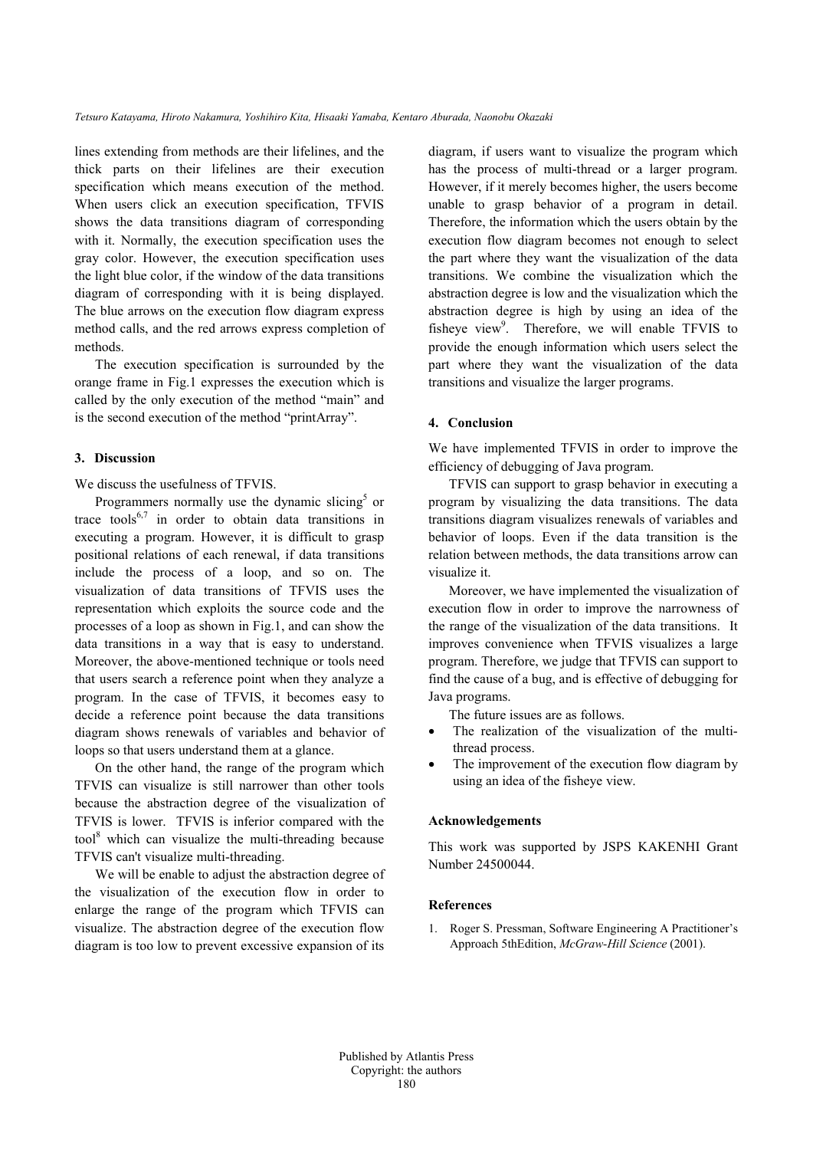lines extending from methods are their lifelines, and the thick parts on their lifelines are their execution specification which means execution of the method. When users click an execution specification, TFVIS shows the data transitions diagram of corresponding with it. Normally, the execution specification uses the gray color. However, the execution specification uses the light blue color, if the window of the data transitions diagram of corresponding with it is being displayed. The blue arrows on the execution flow diagram express method calls, and the red arrows express completion of methods.

The execution specification is surrounded by the orange frame in Fig.1 expresses the execution which is called by the only execution of the method "main" and is the second execution of the method "printArray".

### **3. Discussion**

We discuss the usefulness of TFVIS.

Programmers normally use the dynamic slicing<sup>5</sup> or trace tools<sup>6,7</sup> in order to obtain data transitions in executing a program. However, it is difficult to grasp positional relations of each renewal, if data transitions include the process of a loop, and so on. The visualization of data transitions of TFVIS uses the representation which exploits the source code and the processes of a loop as shown in Fig.1, and can show the data transitions in a way that is easy to understand. Moreover, the above-mentioned technique or tools need that users search a reference point when they analyze a program. In the case of TFVIS, it becomes easy to decide a reference point because the data transitions diagram shows renewals of variables and behavior of loops so that users understand them at a glance.

On the other hand, the range of the program which TFVIS can visualize is still narrower than other tools because the abstraction degree of the visualization of TFVIS is lower. TFVIS is inferior compared with the tool <sup>8</sup> which can visualize the multi-threading because TFVIS can't visualize multi-threading.

We will be enable to adjust the abstraction degree of the visualization of the execution flow in order to enlarge the range of the program which TFVIS can visualize. The abstraction degree of the execution flow diagram is too low to prevent excessive expansion of its

diagram, if users want to visualize the program which has the process of multi-thread or a larger program. However, if it merely becomes higher, the users become unable to grasp behavior of a program in detail. Therefore, the information which the users obtain by the execution flow diagram becomes not enough to select the part where they want the visualization of the data transitions. We combine the visualization which the abstraction degree is low and the visualization which the abstraction degree is high by using an idea of the fisheye view<sup>9</sup>. Therefore, we will enable TFVIS to provide the enough information which users select the part where they want the visualization of the data transitions and visualize the larger programs.

### **4. Conclusion**

We have implemented TFVIS in order to improve the efficiency of debugging of Java program.

TFVIS can support to grasp behavior in executing a program by visualizing the data transitions. The data transitions diagram visualizes renewals of variables and behavior of loops. Even if the data transition is the relation between methods, the data transitions arrow can visualize it.

Moreover, we have implemented the visualization of execution flow in order to improve the narrowness of the range of the visualization of the data transitions. It improves convenience when TFVIS visualizes a large program. Therefore, we judge that TFVIS can support to find the cause of a bug, and is effective of debugging for Java programs.

The future issues are as follows.

- The realization of the visualization of the multithread process.
- The improvement of the execution flow diagram by using an idea of the fisheye view.

### **Acknowledgements**

This work was supported by JSPS KAKENHI Grant Number 24500044.

### **References**

1. Roger S. Pressman, Software Engineering A Practitioner's Approach 5thEdition, *McGraw-Hill Science* (2001).